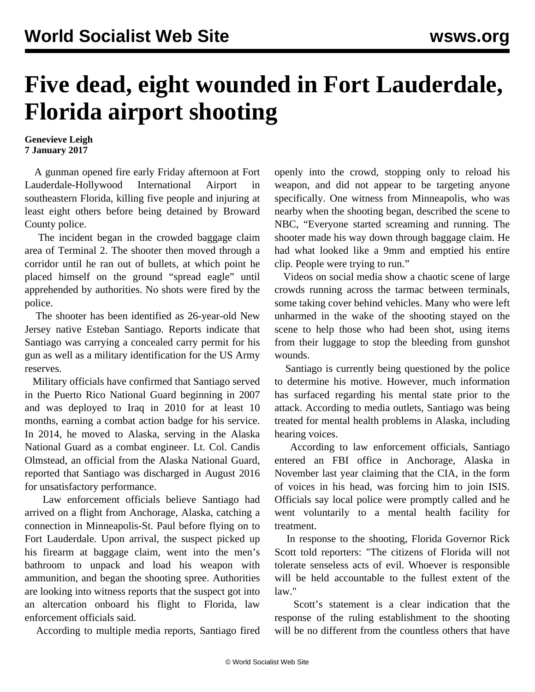## **Five dead, eight wounded in Fort Lauderdale, Florida airport shooting**

**Genevieve Leigh 7 January 2017**

 A gunman opened fire early Friday afternoon at Fort Lauderdale-Hollywood International Airport in southeastern Florida, killing five people and injuring at least eight others before being detained by Broward County police.

 The incident began in the crowded baggage claim area of Terminal 2. The shooter then moved through a corridor until he ran out of bullets, at which point he placed himself on the ground "spread eagle" until apprehended by authorities. No shots were fired by the police.

 The shooter has been identified as 26-year-old New Jersey native Esteban Santiago. Reports indicate that Santiago was carrying a concealed carry permit for his gun as well as a military identification for the US Army reserves.

 Military officials have confirmed that Santiago served in the Puerto Rico National Guard beginning in 2007 and was deployed to Iraq in 2010 for at least 10 months, earning a combat action badge for his service. In 2014, he moved to Alaska, serving in the Alaska National Guard as a combat engineer. Lt. Col. Candis Olmstead, an official from the Alaska National Guard, reported that Santiago was discharged in August 2016 for unsatisfactory performance.

 Law enforcement officials believe Santiago had arrived on a flight from Anchorage, Alaska, catching a connection in Minneapolis-St. Paul before flying on to Fort Lauderdale. Upon arrival, the suspect picked up his firearm at baggage claim, went into the men's bathroom to unpack and load his weapon with ammunition, and began the shooting spree. Authorities are looking into witness reports that the suspect got into an altercation onboard his flight to Florida, law enforcement officials said.

According to multiple media reports, Santiago fired

openly into the crowd, stopping only to reload his weapon, and did not appear to be targeting anyone specifically. One witness from Minneapolis, who was nearby when the shooting began, described the scene to NBC, "Everyone started screaming and running. The shooter made his way down through baggage claim. He had what looked like a 9mm and emptied his entire clip. People were trying to run."

 Videos on social media show a chaotic scene of large crowds running across the tarmac between terminals, some taking cover behind vehicles. Many who were left unharmed in the wake of the shooting stayed on the scene to help those who had been shot, using items from their luggage to stop the bleeding from gunshot wounds.

 Santiago is currently being questioned by the police to determine his motive. However, much information has surfaced regarding his mental state prior to the attack. According to media outlets, Santiago was being treated for mental health problems in Alaska, including hearing voices.

 According to law enforcement officials, Santiago entered an FBI office in Anchorage, Alaska in November last year claiming that the CIA, in the form of voices in his head, was forcing him to join ISIS. Officials say local police were promptly called and he went voluntarily to a mental health facility for treatment.

 In response to the shooting, Florida Governor Rick Scott told reporters: "The citizens of Florida will not tolerate senseless acts of evil. Whoever is responsible will be held accountable to the fullest extent of the law."

 Scott's statement is a clear indication that the response of the ruling establishment to the shooting will be no different from the countless others that have